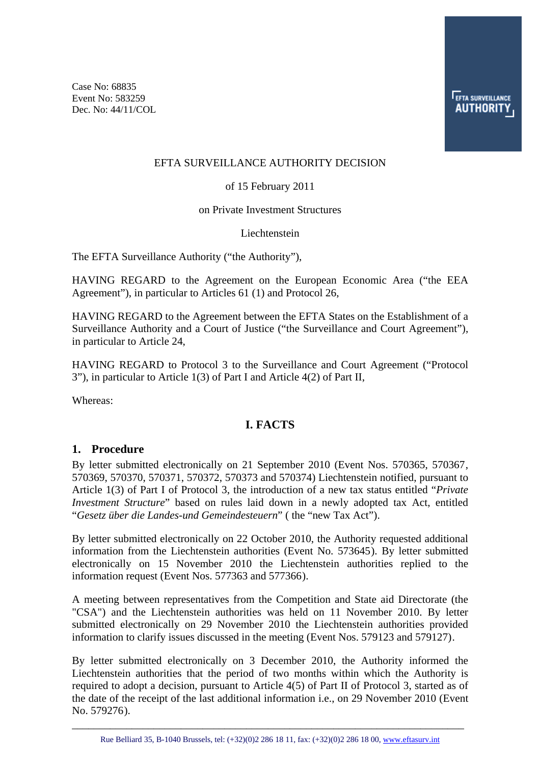Case No: 68835 Event No: 583259 Dec. No: 44/11/COL

**EFTA SURVEILLANCE AUTHORIT** 

## EFTA SURVEILLANCE AUTHORITY DECISION

#### of 15 February 2011

#### on Private Investment Structures

#### Liechtenstein

The EFTA Surveillance Authority ("the Authority"),

HAVING REGARD to the Agreement on the European Economic Area ("the EEA Agreement"), in particular to Articles 61 (1) and Protocol 26,

HAVING REGARD to the Agreement between the EFTA States on the Establishment of a Surveillance Authority and a Court of Justice ("the Surveillance and Court Agreement"), in particular to Article 24,

HAVING REGARD to Protocol 3 to the Surveillance and Court Agreement ("Protocol 3"), in particular to Article 1(3) of Part I and Article 4(2) of Part II,

Whereas:

# **I. FACTS**

#### **1. Procedure**

By letter submitted electronically on 21 September 2010 (Event Nos. 570365, 570367, 570369, 570370, 570371, 570372, 570373 and 570374) Liechtenstein notified, pursuant to Article 1(3) of Part I of Protocol 3, the introduction of a new tax status entitled "*Private Investment Structure*" based on rules laid down in a newly adopted tax Act, entitled "*Gesetz über die Landes-und Gemeindesteuern*" ( the "new Tax Act").

By letter submitted electronically on 22 October 2010, the Authority requested additional information from the Liechtenstein authorities (Event No. 573645). By letter submitted electronically on 15 November 2010 the Liechtenstein authorities replied to the information request (Event Nos. 577363 and 577366).

A meeting between representatives from the Competition and State aid Directorate (the "CSA") and the Liechtenstein authorities was held on 11 November 2010. By letter submitted electronically on 29 November 2010 the Liechtenstein authorities provided information to clarify issues discussed in the meeting (Event Nos. 579123 and 579127).

By letter submitted electronically on 3 December 2010, the Authority informed the Liechtenstein authorities that the period of two months within which the Authority is required to adopt a decision, pursuant to Article 4(5) of Part II of Protocol 3, started as of the date of the receipt of the last additional information i.e., on 29 November 2010 (Event No. 579276).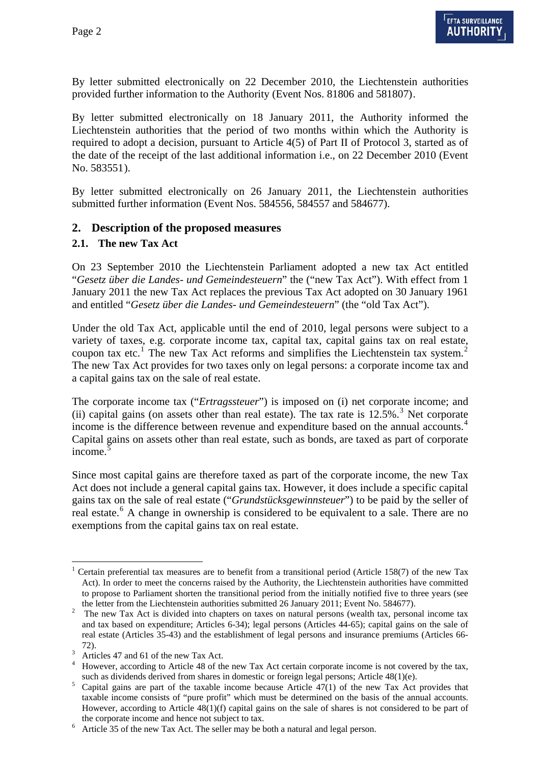By letter submitted electronically on 22 December 2010, the Liechtenstein authorities provided further information to the Authority (Event Nos. 81806 and 581807).

By letter submitted electronically on 18 January 2011, the Authority informed the Liechtenstein authorities that the period of two months within which the Authority is required to adopt a decision, pursuant to Article 4(5) of Part II of Protocol 3, started as of the date of the receipt of the last additional information i.e., on 22 December 2010 (Event No. 583551).

By letter submitted electronically on 26 January 2011, the Liechtenstein authorities submitted further information (Event Nos. 584556, 584557 and 584677).

## **2. Description of the proposed measures**

#### **2.1. The new Tax Act**

On 23 September 2010 the Liechtenstein Parliament adopted a new tax Act entitled "*Gesetz über die Landes- und Gemeindesteuern*" the ("new Tax Act"). With effect from 1 January 2011 the new Tax Act replaces the previous Tax Act adopted on 30 January 1961 and entitled "*Gesetz über die Landes- und Gemeindesteuern*" (the "old Tax Act").

Under the old Tax Act, applicable until the end of 2010, legal persons were subject to a variety of taxes, e.g. corporate income tax, capital tax, capital gains tax on real estate, coupon tax etc.<sup>[1](#page-1-0)</sup> The new Tax Act reforms and simplifies the Liechtenstein tax system.<sup>[2](#page-1-1)</sup> The new Tax Act provides for two taxes only on legal persons: a corporate income tax and a capital gains tax on the sale of real estate.

The corporate income tax ("*Ertragssteuer*") is imposed on (i) net corporate income; and (ii) capital gains (on assets other than real estate). The tax rate is  $12.5\%$ .<sup>[3](#page-1-2)</sup> Net corporate income is the difference between revenue and expenditure based on the annual accounts.<sup>[4](#page-1-3)</sup> Capital gains on assets other than real estate, such as bonds, are taxed as part of corporate income.<sup>[5](#page-1-4)</sup>

Since most capital gains are therefore taxed as part of the corporate income, the new Tax Act does not include a general capital gains tax. However, it does include a specific capital gains tax on the sale of real estate ("*Grundstücksgewinnsteuer*") to be paid by the seller of real estate.<sup>[6](#page-1-5)</sup> A change in ownership is considered to be equivalent to a sale. There are no exemptions from the capital gains tax on real estate.

<span id="page-1-0"></span> $\overline{a}$ 1 Certain preferential tax measures are to benefit from a transitional period (Article 158(7) of the new Tax Act). In order to meet the concerns raised by the Authority, the Liechtenstein authorities have committed to propose to Parliament shorten the transitional period from the initially notified five to three years (see

<span id="page-1-1"></span>the letter from the Liechtenstein authorities submitted 26 January 2011; Event No. 584677).<br><sup>2</sup> The new Tax Act is divided into chapters on taxes on natural persons (wealth tax, personal income tax and tax based on expenditure; Articles 6-34); legal persons (Articles 44-65); capital gains on the sale of real estate (Articles 35-43) and the establishment of legal persons and insurance premiums (Articles 66-

<span id="page-1-2"></span><sup>72).&</sup>lt;br> $3^3$  Articles 47 and 61 of the new Tax Act.

<span id="page-1-3"></span><sup>&</sup>lt;sup>4</sup> However, according to Article 48 of the new Tax Act certain corporate income is not covered by the tax, such as dividends derived from shares in domestic or foreign legal persons; Article 48(1)(e).

<span id="page-1-4"></span> $5$  Capital gains are part of the taxable income because Article  $47(1)$  of the new Tax Act provides that taxable income consists of "pure profit" which must be determined on the basis of the annual accounts. However, according to Article 48(1)(f) capital gains on the sale of shares is not considered to be part of the corporate income and hence not subject to tax.

<span id="page-1-5"></span> $6$  Article 35 of the new Tax Act. The seller may be both a natural and legal person.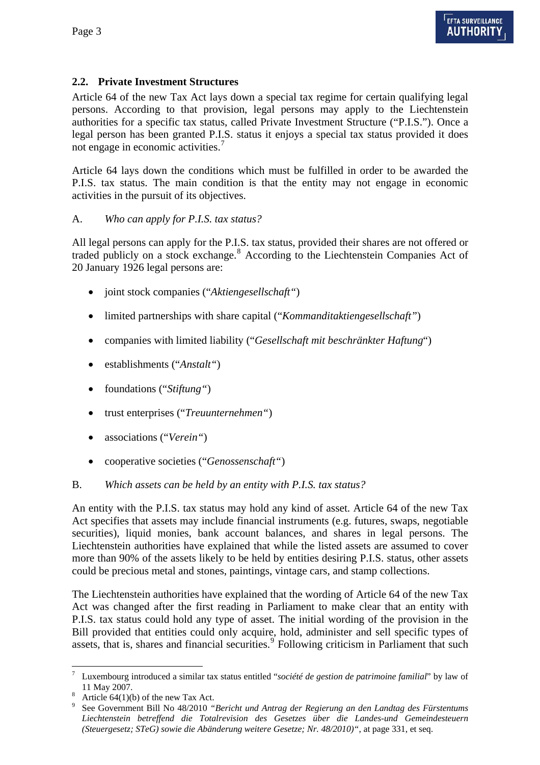# **2.2. Private Investment Structures**

Article 64 of the new Tax Act lays down a special tax regime for certain qualifying legal persons. According to that provision, legal persons may apply to the Liechtenstein authorities for a specific tax status, called Private Investment Structure ("P.I.S."). Once a legal person has been granted P.I.S. status it enjoys a special tax status provided it does not engage in economic activities.<sup>[7](#page-2-0)</sup>

Article 64 lays down the conditions which must be fulfilled in order to be awarded the P.I.S. tax status. The main condition is that the entity may not engage in economic activities in the pursuit of its objectives.

# A. *Who can apply for P.I.S. tax status?*

All legal persons can apply for the P.I.S. tax status, provided their shares are not offered or traded publicly on a stock exchange.<sup>[8](#page-2-1)</sup> According to the Liechtenstein Companies Act of 20 January 1926 legal persons are:

- joint stock companies ("*Aktiengesellschaft"*)
- limited partnerships with share capital ("*Kommanditaktiengesellschaft"*)
- companies with limited liability ("*Gesellschaft mit beschränkter Haftung*")
- establishments ("*Anstalt"*)
- foundations ("*Stiftung*")
- trust enterprises ("*Treuunternehmen"*)
- associations ("*Verein"*)
- cooperative societies ("*Genossenschaft"*)

# B. *Which assets can be held by an entity with P.I.S. tax status?*

An entity with the P.I.S. tax status may hold any kind of asset. Article 64 of the new Tax Act specifies that assets may include financial instruments (e.g. futures, swaps, negotiable securities), liquid monies, bank account balances, and shares in legal persons. The Liechtenstein authorities have explained that while the listed assets are assumed to cover more than 90% of the assets likely to be held by entities desiring P.I.S. status, other assets could be precious metal and stones, paintings, vintage cars, and stamp collections.

The Liechtenstein authorities have explained that the wording of Article 64 of the new Tax Act was changed after the first reading in Parliament to make clear that an entity with P.I.S. tax status could hold any type of asset. The initial wording of the provision in the Bill provided that entities could only acquire, hold, administer and sell specific types of assets, that is, shares and financial securities.<sup>[9](#page-2-2)</sup> Following criticism in Parliament that such

<span id="page-2-0"></span> $\overline{a}$ 7 Luxembourg introduced a similar tax status entitled "*société de gestion de patrimoine familial*" by law of 11 May 2007.

<span id="page-2-1"></span><sup>&</sup>lt;sup>8</sup> Article 64(1)(b) of the new Tax Act.

<span id="page-2-2"></span><sup>9</sup> See Government Bill No 48/2010 *"Bericht und Antrag der Regierung an den Landtag des Fürstentums Liechtenstein betreffend die Totalrevision des Gesetzes über die Landes-und Gemeindesteuern (Steuergesetz; STeG) sowie die Abänderung weitere Gesetze; Nr. 48/2010)"*, at page 331, et seq.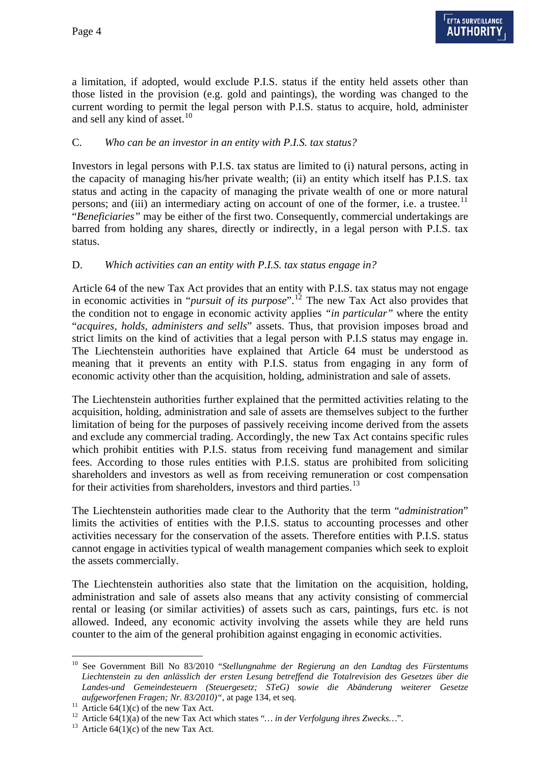a limitation, if adopted, would exclude P.I.S. status if the entity held assets other than those listed in the provision (e.g. gold and paintings), the wording was changed to the current wording to permit the legal person with P.I.S. status to acquire, hold, administer and sell any kind of asset.<sup>[10](#page-3-0)</sup>

## C. *Who can be an investor in an entity with P.I.S. tax status?*

Investors in legal persons with P.I.S. tax status are limited to (i) natural persons, acting in the capacity of managing his/her private wealth; (ii) an entity which itself has P.I.S. tax status and acting in the capacity of managing the private wealth of one or more natural persons; and (iii) an intermediary acting on account of one of the former, i.e. a trustee.<sup>[11](#page-3-1)</sup> "*Beneficiaries"* may be either of the first two. Consequently, commercial undertakings are barred from holding any shares, directly or indirectly, in a legal person with P.I.S. tax status.

## D. *Which activities can an entity with P.I.S. tax status engage in?*

Article 64 of the new Tax Act provides that an entity with P.I.S. tax status may not engage in economic activities in "*pursuit of its purpose*".[12](#page-3-2) The new Tax Act also provides that the condition not to engage in economic activity applies *"in particular"* where the entity "*acquires, holds, administers and sells*" assets. Thus, that provision imposes broad and strict limits on the kind of activities that a legal person with P.I.S status may engage in. The Liechtenstein authorities have explained that Article 64 must be understood as meaning that it prevents an entity with P.I.S. status from engaging in any form of economic activity other than the acquisition, holding, administration and sale of assets.

The Liechtenstein authorities further explained that the permitted activities relating to the acquisition, holding, administration and sale of assets are themselves subject to the further limitation of being for the purposes of passively receiving income derived from the assets and exclude any commercial trading. Accordingly, the new Tax Act contains specific rules which prohibit entities with P.I.S. status from receiving fund management and similar fees. According to those rules entities with P.I.S. status are prohibited from soliciting shareholders and investors as well as from receiving remuneration or cost compensation for their activities from shareholders, investors and third parties.<sup>[13](#page-3-3)</sup>

The Liechtenstein authorities made clear to the Authority that the term "*administration*" limits the activities of entities with the P.I.S. status to accounting processes and other activities necessary for the conservation of the assets. Therefore entities with P.I.S. status cannot engage in activities typical of wealth management companies which seek to exploit the assets commercially.

The Liechtenstein authorities also state that the limitation on the acquisition, holding, administration and sale of assets also means that any activity consisting of commercial rental or leasing (or similar activities) of assets such as cars, paintings, furs etc. is not allowed. Indeed, any economic activity involving the assets while they are held runs counter to the aim of the general prohibition against engaging in economic activities.

<span id="page-3-0"></span><sup>10</sup> See Government Bill No 83/2010 "*Stellungnahme der Regierung an den Landtag des Fürstentums Liechtenstein zu den anlässlich der ersten Lesung betreffend die Totalrevision des Gesetzes über die Landes-und Gemeindesteuern (Steuergesetz; STeG) sowie die Abänderung weiterer Gesetze aufgeworfenen Fragen; Nr. 83/2010)*", at page 134, et seq.<br><sup>11</sup> Article 64(1)(c) of the new Tax Act.

<span id="page-3-3"></span><span id="page-3-2"></span><span id="page-3-1"></span><sup>&</sup>lt;sup>12</sup> Article 64(1)(a) of the new Tax Act which states "... in der Verfolgung ihres Zwecks...". <sup>13</sup> Article 64(1)(c) of the new Tax Act.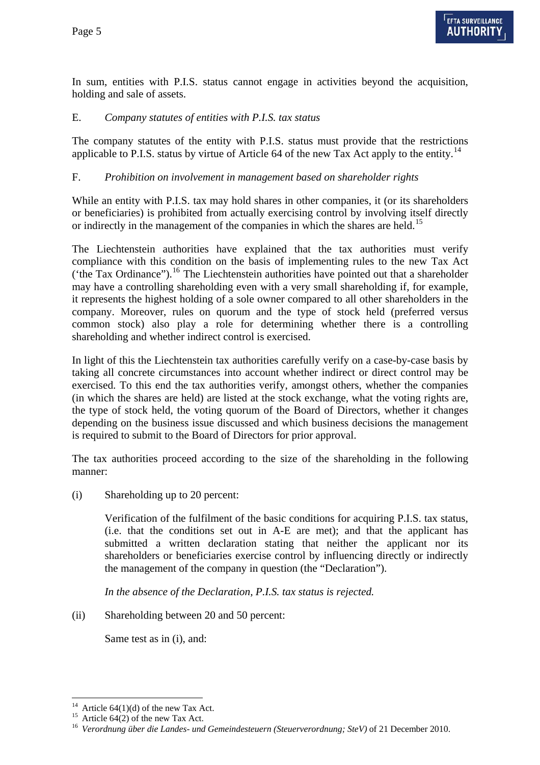In sum, entities with P.I.S. status cannot engage in activities beyond the acquisition, holding and sale of assets.

#### E. *Company statutes of entities with P.I.S. tax status*

The company statutes of the entity with P.I.S. status must provide that the restrictions applicable to P.I.S. status by virtue of Article 64 of the new Tax Act apply to the entity.<sup>[14](#page-4-0)</sup>

## F. *Prohibition on involvement in management based on shareholder rights*

While an entity with P.I.S. tax may hold shares in other companies, it (or its shareholders or beneficiaries) is prohibited from actually exercising control by involving itself directly or indirectly in the management of the companies in which the shares are held.<sup>[15](#page-4-1)</sup>

The Liechtenstein authorities have explained that the tax authorities must verify compliance with this condition on the basis of implementing rules to the new Tax Act ('the Tax Ordinance'').<sup>[16](#page-4-2)</sup> The Liechtenstein authorities have pointed out that a shareholder may have a controlling shareholding even with a very small shareholding if, for example, it represents the highest holding of a sole owner compared to all other shareholders in the company. Moreover, rules on quorum and the type of stock held (preferred versus common stock) also play a role for determining whether there is a controlling shareholding and whether indirect control is exercised.

In light of this the Liechtenstein tax authorities carefully verify on a case-by-case basis by taking all concrete circumstances into account whether indirect or direct control may be exercised. To this end the tax authorities verify, amongst others, whether the companies (in which the shares are held) are listed at the stock exchange, what the voting rights are, the type of stock held, the voting quorum of the Board of Directors, whether it changes depending on the business issue discussed and which business decisions the management is required to submit to the Board of Directors for prior approval.

The tax authorities proceed according to the size of the shareholding in the following manner:

(i) Shareholding up to 20 percent:

Verification of the fulfilment of the basic conditions for acquiring P.I.S. tax status, (i.e. that the conditions set out in A-E are met); and that the applicant has submitted a written declaration stating that neither the applicant nor its shareholders or beneficiaries exercise control by influencing directly or indirectly the management of the company in question (the "Declaration").

*In the absence of the Declaration, P.I.S. tax status is rejected.* 

(ii) Shareholding between 20 and 50 percent:

Same test as in (i), and:

<sup>&</sup>lt;sup>14</sup> Article 64(1)(d) of the new Tax Act.

<span id="page-4-1"></span><span id="page-4-0"></span> $^{15}$  Article 64(2) of the new Tax Act.

<span id="page-4-2"></span><sup>16</sup> *Verordnung über die Landes- und Gemeindesteuern (Steuerverordnung; SteV)* of 21 December 2010.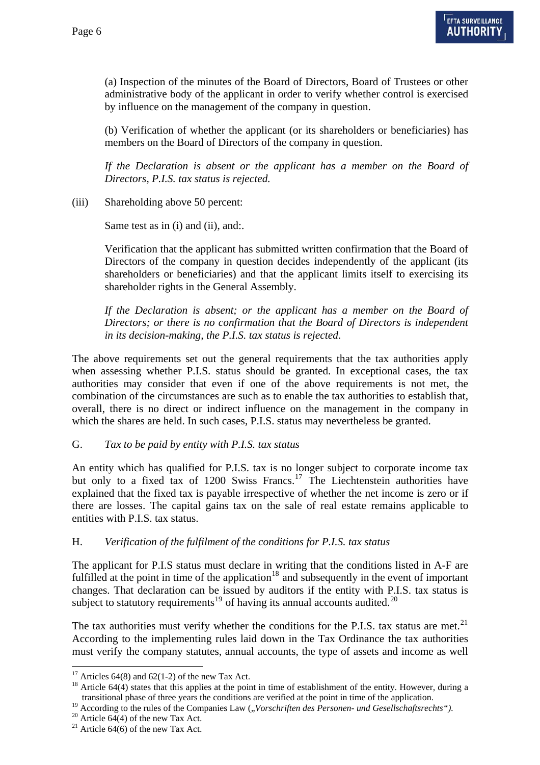(a) Inspection of the minutes of the Board of Directors, Board of Trustees or other administrative body of the applicant in order to verify whether control is exercised by influence on the management of the company in question.

(b) Verification of whether the applicant (or its shareholders or beneficiaries) has members on the Board of Directors of the company in question.

*If the Declaration is absent or the applicant has a member on the Board of Directors, P.I.S. tax status is rejected.* 

(iii) Shareholding above 50 percent:

Same test as in (i) and (ii), and:.

Verification that the applicant has submitted written confirmation that the Board of Directors of the company in question decides independently of the applicant (its shareholders or beneficiaries) and that the applicant limits itself to exercising its shareholder rights in the General Assembly.

*If the Declaration is absent; or the applicant has a member on the Board of Directors; or there is no confirmation that the Board of Directors is independent in its decision-making, the P.I.S. tax status is rejected*.

The above requirements set out the general requirements that the tax authorities apply when assessing whether P.I.S. status should be granted. In exceptional cases, the tax authorities may consider that even if one of the above requirements is not met, the combination of the circumstances are such as to enable the tax authorities to establish that, overall, there is no direct or indirect influence on the management in the company in which the shares are held. In such cases, P.I.S. status may nevertheless be granted.

G. *Tax to be paid by entity with P.I.S. tax status* 

An entity which has qualified for P.I.S. tax is no longer subject to corporate income tax but only to a fixed tax of 1200 Swiss Francs.<sup>[17](#page-5-0)</sup> The Liechtenstein authorities have explained that the fixed tax is payable irrespective of whether the net income is zero or if there are losses. The capital gains tax on the sale of real estate remains applicable to entities with P.I.S. tax status.

#### H. *Verification of the fulfilment of the conditions for P.I.S. tax status*

The applicant for P.I.S status must declare in writing that the conditions listed in A-F are fulfilled at the point in time of the application<sup>[18](#page-5-1)</sup> and subsequently in the event of important changes. That declaration can be issued by auditors if the entity with P.I.S. tax status is subject to statutory requirements<sup>[19](#page-5-2)</sup> of having its annual accounts audited.<sup>[20](#page-5-3)</sup>

The tax authorities must verify whether the conditions for the P.I.S. tax status are met.<sup>[21](#page-5-4)</sup> According to the implementing rules laid down in the Tax Ordinance the tax authorities must verify the company statutes, annual accounts, the type of assets and income as well

<sup>&</sup>lt;sup>17</sup> Articles 64(8) and 62(1-2) of the new Tax Act.

<span id="page-5-1"></span><span id="page-5-0"></span><sup>&</sup>lt;sup>18</sup> Article 64(4) states that this applies at the point in time of establishment of the entity. However, during a transitional phase of three years the conditions are verified at the point in time of the application.

<span id="page-5-2"></span><sup>&</sup>lt;sup>19</sup> According to the rules of the Companies Law  $($ *, Vorschriften des Personen- und Gesellschaftsrechts* " $)$ .<br><sup>20</sup> Article 64(4) of the new Tax Act.

<span id="page-5-4"></span><span id="page-5-3"></span><sup>&</sup>lt;sup>21</sup> Article 64(6) of the new Tax Act.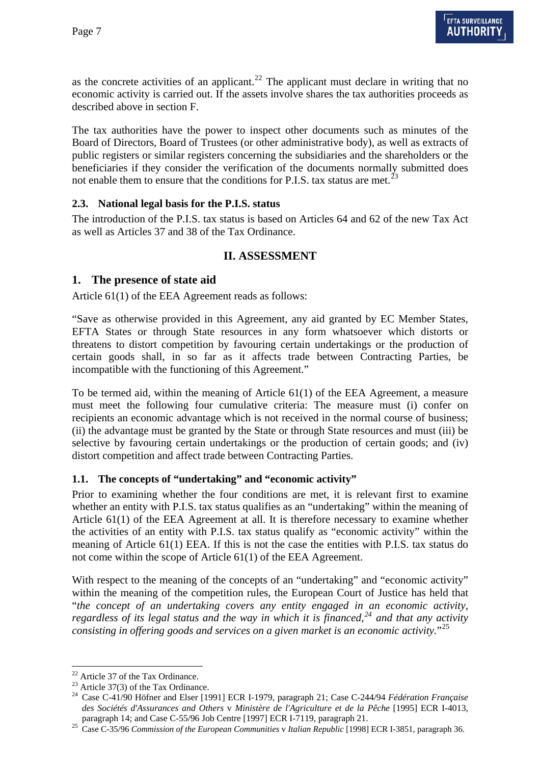as the concrete activities of an applicant.<sup>[22](#page-6-0)</sup> The applicant must declare in writing that no economic activity is carried out. If the assets involve shares the tax authorities proceeds as described above in section F.

The tax authorities have the power to inspect other documents such as minutes of the Board of Directors, Board of Trustees (or other administrative body), as well as extracts of public registers or similar registers concerning the subsidiaries and the shareholders or the beneficiaries if they consider the verification of the documents normally submitted does not enable them to ensure that the conditions for P.I.S. tax status are met.<sup>[23](#page-6-1)</sup>

## **2.3. National legal basis for the P.I.S. status**

The introduction of the P.I.S. tax status is based on Articles 64 and 62 of the new Tax Act as well as Articles 37 and 38 of the Tax Ordinance.

# **II. ASSESSMENT**

#### **1. The presence of state aid**

Article 61(1) of the EEA Agreement reads as follows:

"Save as otherwise provided in this Agreement, any aid granted by EC Member States, EFTA States or through State resources in any form whatsoever which distorts or threatens to distort competition by favouring certain undertakings or the production of certain goods shall, in so far as it affects trade between Contracting Parties, be incompatible with the functioning of this Agreement."

To be termed aid, within the meaning of Article 61(1) of the EEA Agreement, a measure must meet the following four cumulative criteria: The measure must (i) confer on recipients an economic advantage which is not received in the normal course of business; (ii) the advantage must be granted by the State or through State resources and must (iii) be selective by favouring certain undertakings or the production of certain goods; and (iv) distort competition and affect trade between Contracting Parties.

#### **1.1. The concepts of "undertaking" and "economic activity"**

Prior to examining whether the four conditions are met, it is relevant first to examine whether an entity with P.I.S. tax status qualifies as an "undertaking" within the meaning of Article 61(1) of the EEA Agreement at all. It is therefore necessary to examine whether the activities of an entity with P.I.S. tax status qualify as "economic activity" within the meaning of Article 61(1) EEA. If this is not the case the entities with P.I.S. tax status do not come within the scope of Article 61(1) of the EEA Agreement.

With respect to the meaning of the concepts of an "undertaking" and "economic activity" within the meaning of the competition rules, the European Court of Justice has held that "*the concept of an undertaking covers any entity engaged in an economic activity, regardless of its legal status and the way in which it is financed,[24](#page-6-2) and that any activity consisting in offering goods and services on a given market is an economic activity.*"[25](#page-6-3)

<span id="page-6-0"></span><sup>&</sup>lt;sup>22</sup> Article 37 of the Tax Ordinance.

<span id="page-6-1"></span><sup>&</sup>lt;sup>23</sup> Article 37(3) of the Tax Ordinance.

<span id="page-6-2"></span><sup>24</sup> Case C-41/90 Höfner and Elser [1991] ECR I-1979, paragraph 21; Case C-244/94 *Fédération Française des Sociétés d'Assurances and Others* v *Ministère de l'Agriculture et de la Pêche* [1995] ECR I-4013,

<span id="page-6-3"></span>paragraph 14; and Case C-55/96 Job Centre [1997] ECR I-7119, paragraph 21. 25 Case C-35/96 *Commission of the European Communities* v *Italian Republic* [1998] ECR I-3851, paragraph 36.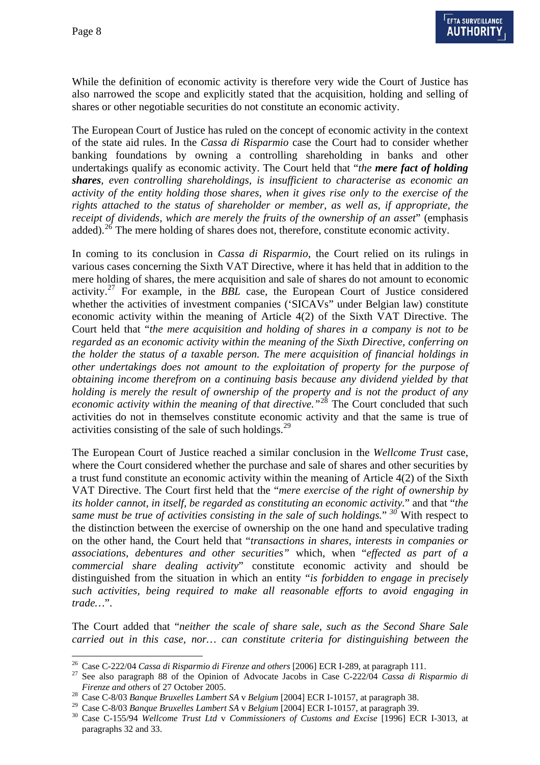$\overline{a}$ 

While the definition of economic activity is therefore very wide the Court of Justice has also narrowed the scope and explicitly stated that the acquisition, holding and selling of shares or other negotiable securities do not constitute an economic activity.

The European Court of Justice has ruled on the concept of economic activity in the context of the state aid rules. In the *Cassa di Risparmio* case the Court had to consider whether banking foundations by owning a controlling shareholding in banks and other undertakings qualify as economic activity. The Court held that "*the mere fact of holding shares, even controlling shareholdings, is insufficient to characterise as economic an activity of the entity holding those shares, when it gives rise only to the exercise of the rights attached to the status of shareholder or member, as well as, if appropriate, the receipt of dividends, which are merely the fruits of the ownership of an asset*" (emphasis added).<sup>[26](#page-7-0)</sup> The mere holding of shares does not, therefore, constitute economic activity.

In coming to its conclusion in *Cassa di Risparmio*, the Court relied on its rulings in various cases concerning the Sixth VAT Directive, where it has held that in addition to the mere holding of shares, the mere acquisition and sale of shares do not amount to economic activity.[27](#page-7-1) For example, in the *BBL* case, the European Court of Justice considered whether the activities of investment companies ('SICAVs" under Belgian law) constitute economic activity within the meaning of Article 4(2) of the Sixth VAT Directive. The Court held that "*the mere acquisition and holding of shares in a company is not to be regarded as an economic activity within the meaning of the Sixth Directive, conferring on the holder the status of a taxable person. The mere acquisition of financial holdings in other undertakings does not amount to the exploitation of property for the purpose of obtaining income therefrom on a continuing basis because any dividend yielded by that holding is merely the result of ownership of the property and is not the product of any economic activity within the meaning of that directive."*[28](#page-7-2) The Court concluded that such activities do not in themselves constitute economic activity and that the same is true of activities consisting of the sale of such holdings. $29$ 

The European Court of Justice reached a similar conclusion in the *Wellcome Trust* case, where the Court considered whether the purchase and sale of shares and other securities by a trust fund constitute an economic activity within the meaning of Article 4(2) of the Sixth VAT Directive. The Court first held that the "*mere exercise of the right of ownership by its holder cannot, in itself, be regarded as constituting an economic activity.*" and that "*the same must be true of activities consisting in the sale of such holdings.*" *[30](#page-7-3)* With respect to the distinction between the exercise of ownership on the one hand and speculative trading on the other hand, the Court held that "*transactions in shares, interests in companies or associations, debentures and other securities"* which, when "*effected as part of a commercial share dealing activity*" constitute economic activity and should be distinguished from the situation in which an entity "*is forbidden to engage in precisely such activities, being required to make all reasonable efforts to avoid engaging in trade…*".

The Court added that "*neither the scale of share sale, such as the Second Share Sale carried out in this case, nor… can constitute criteria for distinguishing between the* 

<span id="page-7-0"></span><sup>26</sup> Case C-222/04 *Cassa di Risparmio di Firenze and others* [2006] ECR I-289, at paragraph 111. 27 See also paragraph 88 of the Opinion of Advocate Jacobs in Case C-222/04 *Cassa di Risparmio di* 

<span id="page-7-2"></span><span id="page-7-1"></span>*Firenze and others of 27 October 2005.*<br><sup>28</sup> Case C-8/03 *Banque Bruxelles Lambert SA v Belgium* [2004] ECR I-10157, at paragraph 38.<br><sup>29</sup> Case C-8/03 *Banque Bruxelles Lambert SA v Belgium* [2004] ECR I-10157, at paragra

<span id="page-7-3"></span><sup>&</sup>lt;sup>30</sup> Case C-155/94 *Wellcome Trust Ltd* v *Commissioners of Customs and Excise* [1996] ECR I-3013, at paragraphs 32 and 33.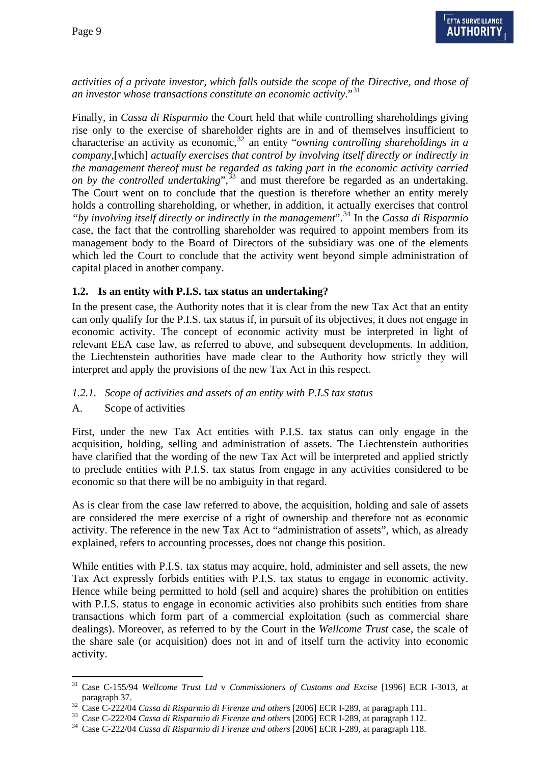*activities of a private investor, which falls outside the scope of the Directive, and those of an investor whose transactions constitute an economic activity*."[31](#page-8-0)

Finally, in *Cassa di Risparmio* the Court held that while controlling shareholdings giving rise only to the exercise of shareholder rights are in and of themselves insufficient to characterise an activity as economic,<sup>[32](#page-8-1)</sup> an entity "*owning controlling shareholdings in a company,*[which] *actually exercises that control by involving itself directly or indirectly in the management thereof must be regarded as taking part in the economic activity carried on by the controlled undertaking*",  $33$  and must therefore be regarded as an undertaking. The Court went on to conclude that the question is therefore whether an entity merely holds a controlling shareholding, or whether, in addition, it actually exercises that control *"by involving itself directly or indirectly in the management*".[34](#page-8-3) In the *Cassa di Risparmio* case, the fact that the controlling shareholder was required to appoint members from its management body to the Board of Directors of the subsidiary was one of the elements which led the Court to conclude that the activity went beyond simple administration of capital placed in another company.

## **1.2. Is an entity with P.I.S. tax status an undertaking?**

In the present case, the Authority notes that it is clear from the new Tax Act that an entity can only qualify for the P.I.S. tax status if, in pursuit of its objectives, it does not engage in economic activity. The concept of economic activity must be interpreted in light of relevant EEA case law, as referred to above, and subsequent developments. In addition, the Liechtenstein authorities have made clear to the Authority how strictly they will interpret and apply the provisions of the new Tax Act in this respect.

# *1.2.1. Scope of activities and assets of an entity with P.I.S tax status*

# A. Scope of activities

First, under the new Tax Act entities with P.I.S. tax status can only engage in the acquisition, holding, selling and administration of assets. The Liechtenstein authorities have clarified that the wording of the new Tax Act will be interpreted and applied strictly to preclude entities with P.I.S. tax status from engage in any activities considered to be economic so that there will be no ambiguity in that regard.

As is clear from the case law referred to above, the acquisition, holding and sale of assets are considered the mere exercise of a right of ownership and therefore not as economic activity. The reference in the new Tax Act to "administration of assets", which, as already explained, refers to accounting processes, does not change this position.

While entities with P.I.S. tax status may acquire, hold, administer and sell assets, the new Tax Act expressly forbids entities with P.I.S. tax status to engage in economic activity. Hence while being permitted to hold (sell and acquire) shares the prohibition on entities with P.I.S. status to engage in economic activities also prohibits such entities from share transactions which form part of a commercial exploitation (such as commercial share dealings). Moreover, as referred to by the Court in the *Wellcome Trust* case, the scale of the share sale (or acquisition) does not in and of itself turn the activity into economic activity.

<span id="page-8-0"></span> $\overline{a}$ 31 Case C-155/94 *Wellcome Trust Ltd* v *Commissioners of Customs and Excise* [1996] ECR I-3013, at paragraph 37.<br>
<sup>32</sup> Case C-222/04 *Cassa di Risparmio di Firenze and others* [2006] ECR I-289, at paragraph 111.<br>
<sup>33</sup> Case C-222/04 *Cassa di Risparmio di Firenze and others* [2006] ECR I-289, at paragraph 112.<br>
<sup>34</sup> Cas

<span id="page-8-1"></span>

<span id="page-8-3"></span><span id="page-8-2"></span>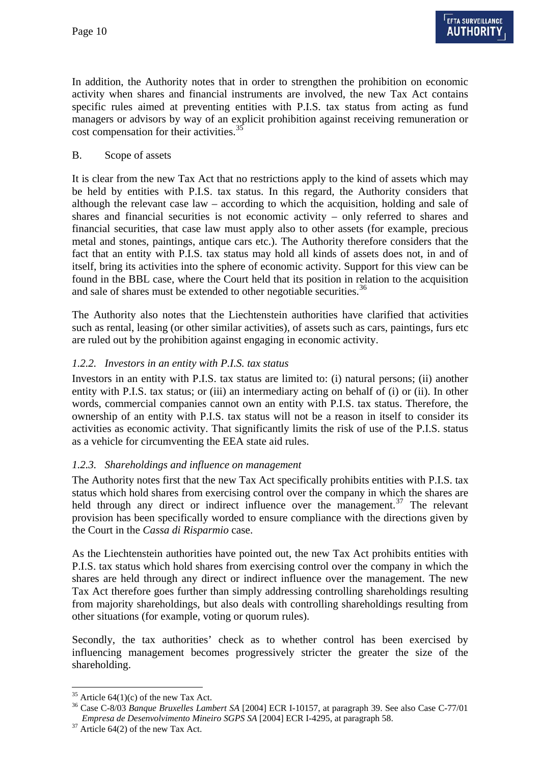In addition, the Authority notes that in order to strengthen the prohibition on economic activity when shares and financial instruments are involved, the new Tax Act contains specific rules aimed at preventing entities with P.I.S. tax status from acting as fund managers or advisors by way of an explicit prohibition against receiving remuneration or cost compensation for their activities.<sup>3</sup>

#### B. Scope of assets

It is clear from the new Tax Act that no restrictions apply to the kind of assets which may be held by entities with P.I.S. tax status. In this regard, the Authority considers that although the relevant case law – according to which the acquisition, holding and sale of shares and financial securities is not economic activity – only referred to shares and financial securities, that case law must apply also to other assets (for example, precious metal and stones, paintings, antique cars etc.). The Authority therefore considers that the fact that an entity with P.I.S. tax status may hold all kinds of assets does not, in and of itself, bring its activities into the sphere of economic activity. Support for this view can be found in the BBL case, where the Court held that its position in relation to the acquisition and sale of shares must be extended to other negotiable securities.<sup>[36](#page-9-1)</sup>

The Authority also notes that the Liechtenstein authorities have clarified that activities such as rental, leasing (or other similar activities), of assets such as cars, paintings, furs etc are ruled out by the prohibition against engaging in economic activity.

#### *1.2.2. Investors in an entity with P.I.S. tax status*

Investors in an entity with P.I.S. tax status are limited to: (i) natural persons; (ii) another entity with P.I.S. tax status; or (iii) an intermediary acting on behalf of (i) or (ii). In other words, commercial companies cannot own an entity with P.I.S. tax status. Therefore, the ownership of an entity with P.I.S. tax status will not be a reason in itself to consider its activities as economic activity. That significantly limits the risk of use of the P.I.S. status as a vehicle for circumventing the EEA state aid rules.

#### *1.2.3. Shareholdings and influence on management*

The Authority notes first that the new Tax Act specifically prohibits entities with P.I.S. tax status which hold shares from exercising control over the company in which the shares are held through any direct or indirect influence over the management.<sup>[37](#page-9-2)</sup> The relevant provision has been specifically worded to ensure compliance with the directions given by the Court in the *Cassa di Risparmio* case.

As the Liechtenstein authorities have pointed out, the new Tax Act prohibits entities with P.I.S. tax status which hold shares from exercising control over the company in which the shares are held through any direct or indirect influence over the management. The new Tax Act therefore goes further than simply addressing controlling shareholdings resulting from majority shareholdings, but also deals with controlling shareholdings resulting from other situations (for example, voting or quorum rules).

Secondly, the tax authorities' check as to whether control has been exercised by influencing management becomes progressively stricter the greater the size of the shareholding.

<span id="page-9-0"></span> $35$  Article 64(1)(c) of the new Tax Act.

<span id="page-9-1"></span><sup>36</sup> Case C-8/03 *Banque Bruxelles Lambert SA* [2004] ECR I-10157, at paragraph 39. See also Case C-77/01 *Empresa de Desenvolvimento Mineiro SGPS SA* [2004] ECR I-4295, at paragraph 58. 37 Article 64(2) of the new Tax Act.

<span id="page-9-2"></span>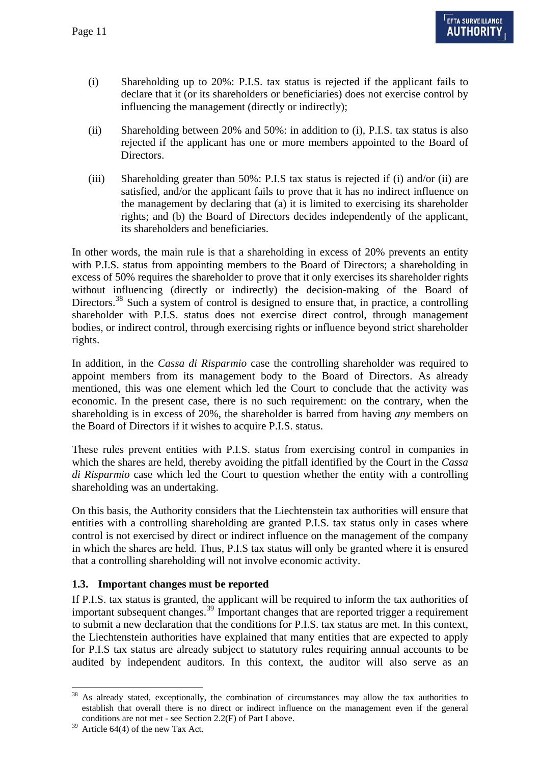- (i) Shareholding up to 20%: P.I.S. tax status is rejected if the applicant fails to declare that it (or its shareholders or beneficiaries) does not exercise control by influencing the management (directly or indirectly);
- (ii) Shareholding between 20% and 50%: in addition to (i), P.I.S. tax status is also rejected if the applicant has one or more members appointed to the Board of Directors.
- (iii) Shareholding greater than 50%: P.I.S tax status is rejected if (i) and/or (ii) are satisfied, and/or the applicant fails to prove that it has no indirect influence on the management by declaring that (a) it is limited to exercising its shareholder rights; and (b) the Board of Directors decides independently of the applicant, its shareholders and beneficiaries.

In other words, the main rule is that a shareholding in excess of 20% prevents an entity with P.I.S. status from appointing members to the Board of Directors; a shareholding in excess of 50% requires the shareholder to prove that it only exercises its shareholder rights without influencing (directly or indirectly) the decision-making of the Board of Directors.<sup>[38](#page-10-0)</sup> Such a system of control is designed to ensure that, in practice, a controlling shareholder with P.I.S. status does not exercise direct control, through management bodies, or indirect control, through exercising rights or influence beyond strict shareholder rights.

In addition, in the *Cassa di Risparmio* case the controlling shareholder was required to appoint members from its management body to the Board of Directors. As already mentioned, this was one element which led the Court to conclude that the activity was economic. In the present case, there is no such requirement: on the contrary, when the shareholding is in excess of 20%, the shareholder is barred from having *any* members on the Board of Directors if it wishes to acquire P.I.S. status.

These rules prevent entities with P.I.S. status from exercising control in companies in which the shares are held, thereby avoiding the pitfall identified by the Court in the *Cassa di Risparmio* case which led the Court to question whether the entity with a controlling shareholding was an undertaking.

On this basis, the Authority considers that the Liechtenstein tax authorities will ensure that entities with a controlling shareholding are granted P.I.S. tax status only in cases where control is not exercised by direct or indirect influence on the management of the company in which the shares are held. Thus, P.I.S tax status will only be granted where it is ensured that a controlling shareholding will not involve economic activity.

#### **1.3. Important changes must be reported**

If P.I.S. tax status is granted, the applicant will be required to inform the tax authorities of important subsequent changes.[39](#page-10-1) Important changes that are reported trigger a requirement to submit a new declaration that the conditions for P.I.S. tax status are met. In this context, the Liechtenstein authorities have explained that many entities that are expected to apply for P.I.S tax status are already subject to statutory rules requiring annual accounts to be audited by independent auditors. In this context, the auditor will also serve as an

<span id="page-10-0"></span> $\overline{a}$ As already stated, exceptionally, the combination of circumstances may allow the tax authorities to establish that overall there is no direct or indirect influence on the management even if the general conditions are not met - see Section 2.2(F) of Part I above.

<span id="page-10-1"></span> $39$  Article 64(4) of the new Tax Act.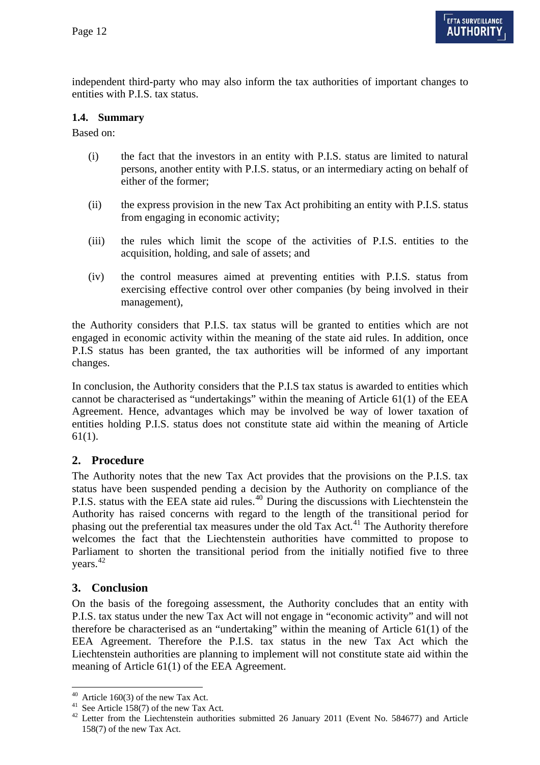independent third-party who may also inform the tax authorities of important changes to entities with P.I.S. tax status.

## **1.4. Summary**

Based on:

- (i) the fact that the investors in an entity with P.I.S. status are limited to natural persons, another entity with P.I.S. status, or an intermediary acting on behalf of either of the former;
- (ii) the express provision in the new Tax Act prohibiting an entity with P.I.S. status from engaging in economic activity;
- (iii) the rules which limit the scope of the activities of P.I.S. entities to the acquisition, holding, and sale of assets; and
- (iv) the control measures aimed at preventing entities with P.I.S. status from exercising effective control over other companies (by being involved in their management),

the Authority considers that P.I.S. tax status will be granted to entities which are not engaged in economic activity within the meaning of the state aid rules. In addition, once P.I.S status has been granted, the tax authorities will be informed of any important changes.

In conclusion, the Authority considers that the P.I.S tax status is awarded to entities which cannot be characterised as "undertakings" within the meaning of Article 61(1) of the EEA Agreement. Hence, advantages which may be involved be way of lower taxation of entities holding P.I.S. status does not constitute state aid within the meaning of Article 61(1).

# **2. Procedure**

The Authority notes that the new Tax Act provides that the provisions on the P.I.S. tax status have been suspended pending a decision by the Authority on compliance of the P.I.S. status with the EEA state aid rules.<sup>[40](#page-11-0)</sup> During the discussions with Liechtenstein the Authority has raised concerns with regard to the length of the transitional period for phasing out the preferential tax measures under the old Tax Act.<sup>[41](#page-11-1)</sup> The Authority therefore welcomes the fact that the Liechtenstein authorities have committed to propose to Parliament to shorten the transitional period from the initially notified five to three vears.<sup>42</sup>

# **3. Conclusion**

 $\overline{a}$ 

Liechtenstein authorities are planning to implement will not constitute state aid within the meaning of Article 61(1) of the EEA Agreement. On the basis of the foregoing assessment, the Authority concludes that an entity with P.I.S. tax status under the new Tax Act will not engage in "economic activity" and will not therefore be characterised as an "undertaking" within the meaning of Article 61(1) of the EEA Agreement. Therefore the P.I.S. tax status in the new Tax Act which the

<span id="page-11-0"></span> $40$  Article 160(3) of the new Tax Act.

<span id="page-11-1"></span><sup>&</sup>lt;sup>41</sup> See Article 158(7) of the new Tax Act.

<sup>&</sup>lt;sup>42</sup> Letter from the Liechtenstein authorities submitted 26 January 2011 (Event No. 584677) and Article 158(7) of the new Tax Act.